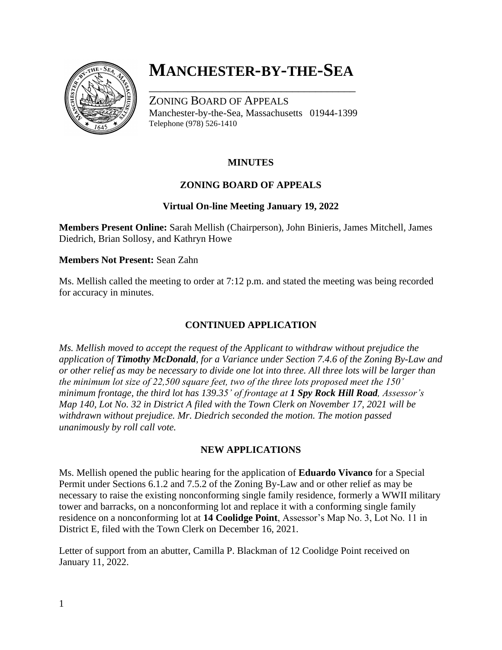

# **MANCHESTER-BY-THE-SEA**

\_\_\_\_\_\_\_\_\_\_\_\_\_\_\_\_\_\_\_\_\_\_\_\_\_\_\_\_\_\_\_\_\_\_\_\_

ZONING BOARD OF APPEALS Manchester-by-the-Sea, Massachusetts 01944-1399 Telephone (978) 526-1410

# **MINUTES**

# **ZONING BOARD OF APPEALS**

## **Virtual On-line Meeting January 19, 2022**

**Members Present Online:** Sarah Mellish (Chairperson), John Binieris, James Mitchell, James Diedrich, Brian Sollosy, and Kathryn Howe

#### **Members Not Present:** Sean Zahn

Ms. Mellish called the meeting to order at 7:12 p.m. and stated the meeting was being recorded for accuracy in minutes.

# **CONTINUED APPLICATION**

*Ms. Mellish moved to accept the request of the Applicant to withdraw without prejudice the application of Timothy McDonald, for a Variance under Section 7.4.6 of the Zoning By-Law and or other relief as may be necessary to divide one lot into three. All three lots will be larger than the minimum lot size of 22,500 square feet, two of the three lots proposed meet the 150' minimum frontage, the third lot has 139.35' of frontage at 1 Spy Rock Hill Road, Assessor's Map 140, Lot No. 32 in District A filed with the Town Clerk on November 17, 2021 will be withdrawn without prejudice. Mr. Diedrich seconded the motion. The motion passed unanimously by roll call vote.*

#### **NEW APPLICATIONS**

Ms. Mellish opened the public hearing for the application of **Eduardo Vivanco** for a Special Permit under Sections 6.1.2 and 7.5.2 of the Zoning By-Law and or other relief as may be necessary to raise the existing nonconforming single family residence, formerly a WWII military tower and barracks, on a nonconforming lot and replace it with a conforming single family residence on a nonconforming lot at **14 Coolidge Point**, Assessor's Map No. 3, Lot No. 11 in District E, filed with the Town Clerk on December 16, 2021.

Letter of support from an abutter, Camilla P. Blackman of 12 Coolidge Point received on January 11, 2022.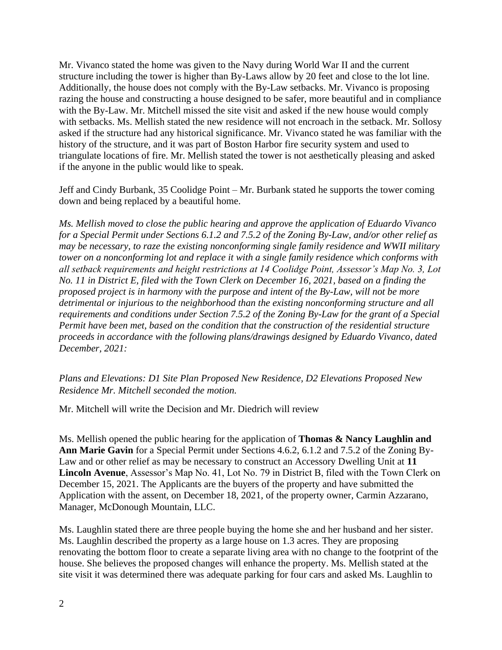Mr. Vivanco stated the home was given to the Navy during World War II and the current structure including the tower is higher than By-Laws allow by 20 feet and close to the lot line. Additionally, the house does not comply with the By-Law setbacks. Mr. Vivanco is proposing razing the house and constructing a house designed to be safer, more beautiful and in compliance with the By-Law. Mr. Mitchell missed the site visit and asked if the new house would comply with setbacks. Ms. Mellish stated the new residence will not encroach in the setback. Mr. Sollosy asked if the structure had any historical significance. Mr. Vivanco stated he was familiar with the history of the structure, and it was part of Boston Harbor fire security system and used to triangulate locations of fire. Mr. Mellish stated the tower is not aesthetically pleasing and asked if the anyone in the public would like to speak.

Jeff and Cindy Burbank, 35 Coolidge Point – Mr. Burbank stated he supports the tower coming down and being replaced by a beautiful home.

*Ms. Mellish moved to close the public hearing and approve the application of Eduardo Vivanco for a Special Permit under Sections 6.1.2 and 7.5.2 of the Zoning By-Law, and/or other relief as may be necessary, to raze the existing nonconforming single family residence and WWII military tower on a nonconforming lot and replace it with a single family residence which conforms with all setback requirements and height restrictions at 14 Coolidge Point, Assessor's Map No. 3, Lot No. 11 in District E, filed with the Town Clerk on December 16, 2021, based on a finding the proposed project is in harmony with the purpose and intent of the By-Law, will not be more detrimental or injurious to the neighborhood than the existing nonconforming structure and all requirements and conditions under Section 7.5.2 of the Zoning By-Law for the grant of a Special Permit have been met, based on the condition that the construction of the residential structure proceeds in accordance with the following plans/drawings designed by Eduardo Vivanco, dated December, 2021:*

*Plans and Elevations: D1 Site Plan Proposed New Residence, D2 Elevations Proposed New Residence Mr. Mitchell seconded the motion.* 

Mr. Mitchell will write the Decision and Mr. Diedrich will review

Ms. Mellish opened the public hearing for the application of **Thomas & Nancy Laughlin and Ann Marie Gavin** for a Special Permit under Sections 4.6.2, 6.1.2 and 7.5.2 of the Zoning By-Law and or other relief as may be necessary to construct an Accessory Dwelling Unit at **11 Lincoln Avenue**, Assessor's Map No. 41, Lot No. 79 in District B, filed with the Town Clerk on December 15, 2021. The Applicants are the buyers of the property and have submitted the Application with the assent, on December 18, 2021, of the property owner, Carmin Azzarano, Manager, McDonough Mountain, LLC.

Ms. Laughlin stated there are three people buying the home she and her husband and her sister. Ms. Laughlin described the property as a large house on 1.3 acres. They are proposing renovating the bottom floor to create a separate living area with no change to the footprint of the house. She believes the proposed changes will enhance the property. Ms. Mellish stated at the site visit it was determined there was adequate parking for four cars and asked Ms. Laughlin to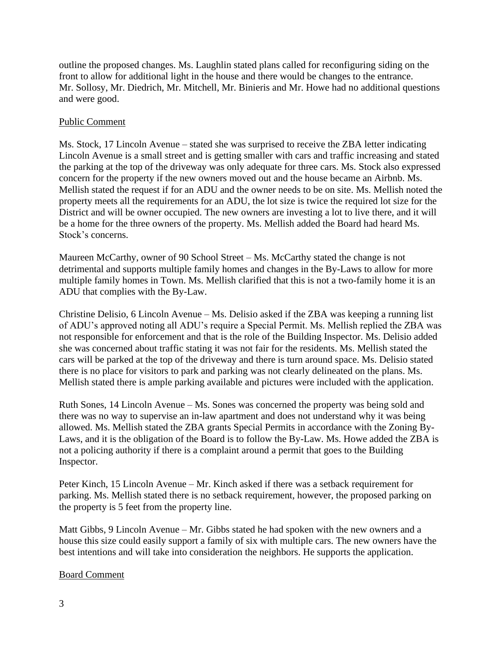outline the proposed changes. Ms. Laughlin stated plans called for reconfiguring siding on the front to allow for additional light in the house and there would be changes to the entrance. Mr. Sollosy, Mr. Diedrich, Mr. Mitchell, Mr. Binieris and Mr. Howe had no additional questions and were good.

### Public Comment

Ms. Stock, 17 Lincoln Avenue – stated she was surprised to receive the ZBA letter indicating Lincoln Avenue is a small street and is getting smaller with cars and traffic increasing and stated the parking at the top of the driveway was only adequate for three cars. Ms. Stock also expressed concern for the property if the new owners moved out and the house became an Airbnb. Ms. Mellish stated the request if for an ADU and the owner needs to be on site. Ms. Mellish noted the property meets all the requirements for an ADU, the lot size is twice the required lot size for the District and will be owner occupied. The new owners are investing a lot to live there, and it will be a home for the three owners of the property. Ms. Mellish added the Board had heard Ms. Stock's concerns.

Maureen McCarthy, owner of 90 School Street – Ms. McCarthy stated the change is not detrimental and supports multiple family homes and changes in the By-Laws to allow for more multiple family homes in Town. Ms. Mellish clarified that this is not a two-family home it is an ADU that complies with the By-Law.

Christine Delisio, 6 Lincoln Avenue – Ms. Delisio asked if the ZBA was keeping a running list of ADU's approved noting all ADU's require a Special Permit. Ms. Mellish replied the ZBA was not responsible for enforcement and that is the role of the Building Inspector. Ms. Delisio added she was concerned about traffic stating it was not fair for the residents. Ms. Mellish stated the cars will be parked at the top of the driveway and there is turn around space. Ms. Delisio stated there is no place for visitors to park and parking was not clearly delineated on the plans. Ms. Mellish stated there is ample parking available and pictures were included with the application.

Ruth Sones, 14 Lincoln Avenue – Ms. Sones was concerned the property was being sold and there was no way to supervise an in-law apartment and does not understand why it was being allowed. Ms. Mellish stated the ZBA grants Special Permits in accordance with the Zoning By-Laws, and it is the obligation of the Board is to follow the By-Law. Ms. Howe added the ZBA is not a policing authority if there is a complaint around a permit that goes to the Building Inspector.

Peter Kinch, 15 Lincoln Avenue – Mr. Kinch asked if there was a setback requirement for parking. Ms. Mellish stated there is no setback requirement, however, the proposed parking on the property is 5 feet from the property line.

Matt Gibbs, 9 Lincoln Avenue – Mr. Gibbs stated he had spoken with the new owners and a house this size could easily support a family of six with multiple cars. The new owners have the best intentions and will take into consideration the neighbors. He supports the application.

#### Board Comment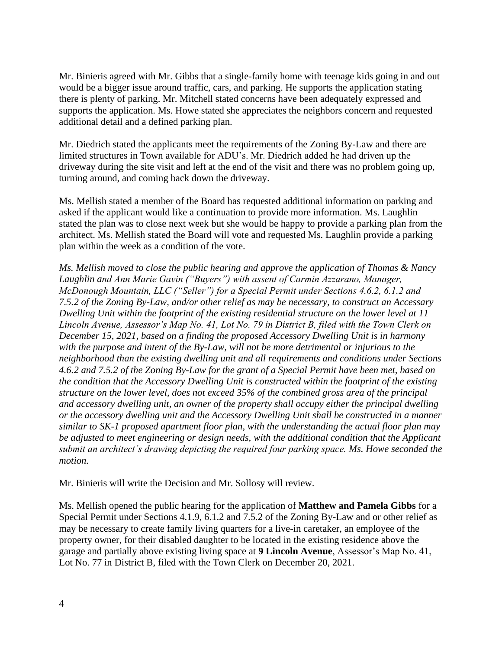Mr. Binieris agreed with Mr. Gibbs that a single-family home with teenage kids going in and out would be a bigger issue around traffic, cars, and parking. He supports the application stating there is plenty of parking. Mr. Mitchell stated concerns have been adequately expressed and supports the application. Ms. Howe stated she appreciates the neighbors concern and requested additional detail and a defined parking plan.

Mr. Diedrich stated the applicants meet the requirements of the Zoning By-Law and there are limited structures in Town available for ADU's. Mr. Diedrich added he had driven up the driveway during the site visit and left at the end of the visit and there was no problem going up, turning around, and coming back down the driveway.

Ms. Mellish stated a member of the Board has requested additional information on parking and asked if the applicant would like a continuation to provide more information. Ms. Laughlin stated the plan was to close next week but she would be happy to provide a parking plan from the architect. Ms. Mellish stated the Board will vote and requested Ms. Laughlin provide a parking plan within the week as a condition of the vote.

*Ms. Mellish moved to close the public hearing and approve the application of Thomas & Nancy Laughlin and Ann Marie Gavin ("Buyers") with assent of Carmin Azzarano, Manager, McDonough Mountain, LLC ("Seller") for a Special Permit under Sections 4.6.2, 6.1.2 and 7.5.2 of the Zoning By-Law, and/or other relief as may be necessary, to construct an Accessary Dwelling Unit within the footprint of the existing residential structure on the lower level at 11 Lincoln Avenue, Assessor's Map No. 41, Lot No. 79 in District B, filed with the Town Clerk on December 15, 2021, based on a finding the proposed Accessory Dwelling Unit is in harmony with the purpose and intent of the By-Law, will not be more detrimental or injurious to the neighborhood than the existing dwelling unit and all requirements and conditions under Sections 4.6.2 and 7.5.2 of the Zoning By-Law for the grant of a Special Permit have been met, based on the condition that the Accessory Dwelling Unit is constructed within the footprint of the existing structure on the lower level, does not exceed 35% of the combined gross area of the principal and accessory dwelling unit, an owner of the property shall occupy either the principal dwelling or the accessory dwelling unit and the Accessory Dwelling Unit shall be constructed in a manner similar to SK-1 proposed apartment floor plan, with the understanding the actual floor plan may be adjusted to meet engineering or design needs, with the additional condition that the Applicant submit an architect's drawing depicting the required four parking space. Ms. Howe seconded the motion.*

Mr. Binieris will write the Decision and Mr. Sollosy will review.

Ms. Mellish opened the public hearing for the application of **Matthew and Pamela Gibbs** for a Special Permit under Sections 4.1.9, 6.1.2 and 7.5.2 of the Zoning By-Law and or other relief as may be necessary to create family living quarters for a live-in caretaker, an employee of the property owner, for their disabled daughter to be located in the existing residence above the garage and partially above existing living space at **9 Lincoln Avenue**, Assessor's Map No. 41, Lot No. 77 in District B, filed with the Town Clerk on December 20, 2021.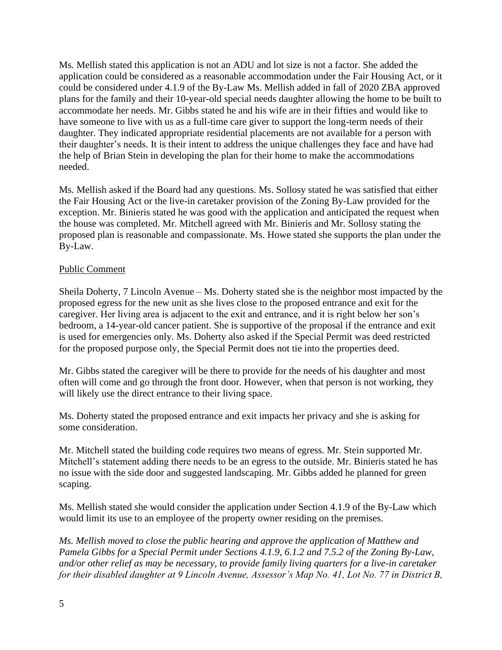Ms. Mellish stated this application is not an ADU and lot size is not a factor. She added the application could be considered as a reasonable accommodation under the Fair Housing Act, or it could be considered under 4.1.9 of the By-Law Ms. Mellish added in fall of 2020 ZBA approved plans for the family and their 10-year-old special needs daughter allowing the home to be built to accommodate her needs. Mr. Gibbs stated he and his wife are in their fifties and would like to have someone to live with us as a full-time care giver to support the long-term needs of their daughter. They indicated appropriate residential placements are not available for a person with their daughter's needs. It is their intent to address the unique challenges they face and have had the help of Brian Stein in developing the plan for their home to make the accommodations needed.

Ms. Mellish asked if the Board had any questions. Ms. Sollosy stated he was satisfied that either the Fair Housing Act or the live-in caretaker provision of the Zoning By-Law provided for the exception. Mr. Binieris stated he was good with the application and anticipated the request when the house was completed. Mr. Mitchell agreed with Mr. Binieris and Mr. Sollosy stating the proposed plan is reasonable and compassionate. Ms. Howe stated she supports the plan under the By-Law.

#### Public Comment

Sheila Doherty, 7 Lincoln Avenue – Ms. Doherty stated she is the neighbor most impacted by the proposed egress for the new unit as she lives close to the proposed entrance and exit for the caregiver. Her living area is adjacent to the exit and entrance, and it is right below her son's bedroom, a 14-year-old cancer patient. She is supportive of the proposal if the entrance and exit is used for emergencies only. Ms. Doherty also asked if the Special Permit was deed restricted for the proposed purpose only, the Special Permit does not tie into the properties deed.

Mr. Gibbs stated the caregiver will be there to provide for the needs of his daughter and most often will come and go through the front door. However, when that person is not working, they will likely use the direct entrance to their living space.

Ms. Doherty stated the proposed entrance and exit impacts her privacy and she is asking for some consideration.

Mr. Mitchell stated the building code requires two means of egress. Mr. Stein supported Mr. Mitchell's statement adding there needs to be an egress to the outside. Mr. Binieris stated he has no issue with the side door and suggested landscaping. Mr. Gibbs added he planned for green scaping.

Ms. Mellish stated she would consider the application under Section 4.1.9 of the By-Law which would limit its use to an employee of the property owner residing on the premises.

*Ms. Mellish moved to close the public hearing and approve the application of Matthew and Pamela Gibbs for a Special Permit under Sections 4.1.9, 6.1.2 and 7.5.2 of the Zoning By-Law, and/or other relief as may be necessary, to provide family living quarters for a live-in caretaker for their disabled daughter at 9 Lincoln Avenue, Assessor's Map No. 41, Lot No. 77 in District B,*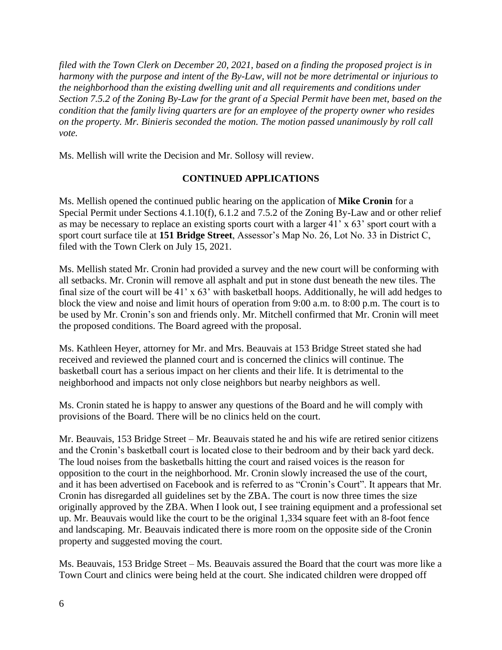*filed with the Town Clerk on December 20, 2021, based on a finding the proposed project is in harmony with the purpose and intent of the By-Law, will not be more detrimental or injurious to the neighborhood than the existing dwelling unit and all requirements and conditions under Section 7.5.2 of the Zoning By-Law for the grant of a Special Permit have been met, based on the condition that the family living quarters are for an employee of the property owner who resides on the property. Mr. Binieris seconded the motion. The motion passed unanimously by roll call vote.* 

Ms. Mellish will write the Decision and Mr. Sollosy will review.

# **CONTINUED APPLICATIONS**

Ms. Mellish opened the continued public hearing on the application of **Mike Cronin** for a Special Permit under Sections 4.1.10(f), 6.1.2 and 7.5.2 of the Zoning By-Law and or other relief as may be necessary to replace an existing sports court with a larger 41' x 63' sport court with a sport court surface tile at **151 Bridge Street**, Assessor's Map No. 26, Lot No. 33 in District C, filed with the Town Clerk on July 15, 2021.

Ms. Mellish stated Mr. Cronin had provided a survey and the new court will be conforming with all setbacks. Mr. Cronin will remove all asphalt and put in stone dust beneath the new tiles. The final size of the court will be 41' x 63' with basketball hoops. Additionally, he will add hedges to block the view and noise and limit hours of operation from 9:00 a.m. to 8:00 p.m. The court is to be used by Mr. Cronin's son and friends only. Mr. Mitchell confirmed that Mr. Cronin will meet the proposed conditions. The Board agreed with the proposal.

Ms. Kathleen Heyer, attorney for Mr. and Mrs. Beauvais at 153 Bridge Street stated she had received and reviewed the planned court and is concerned the clinics will continue. The basketball court has a serious impact on her clients and their life. It is detrimental to the neighborhood and impacts not only close neighbors but nearby neighbors as well.

Ms. Cronin stated he is happy to answer any questions of the Board and he will comply with provisions of the Board. There will be no clinics held on the court.

Mr. Beauvais, 153 Bridge Street – Mr. Beauvais stated he and his wife are retired senior citizens and the Cronin's basketball court is located close to their bedroom and by their back yard deck. The loud noises from the basketballs hitting the court and raised voices is the reason for opposition to the court in the neighborhood. Mr. Cronin slowly increased the use of the court, and it has been advertised on Facebook and is referred to as "Cronin's Court". It appears that Mr. Cronin has disregarded all guidelines set by the ZBA. The court is now three times the size originally approved by the ZBA. When I look out, I see training equipment and a professional set up. Mr. Beauvais would like the court to be the original 1,334 square feet with an 8-foot fence and landscaping. Mr. Beauvais indicated there is more room on the opposite side of the Cronin property and suggested moving the court.

Ms. Beauvais, 153 Bridge Street – Ms. Beauvais assured the Board that the court was more like a Town Court and clinics were being held at the court. She indicated children were dropped off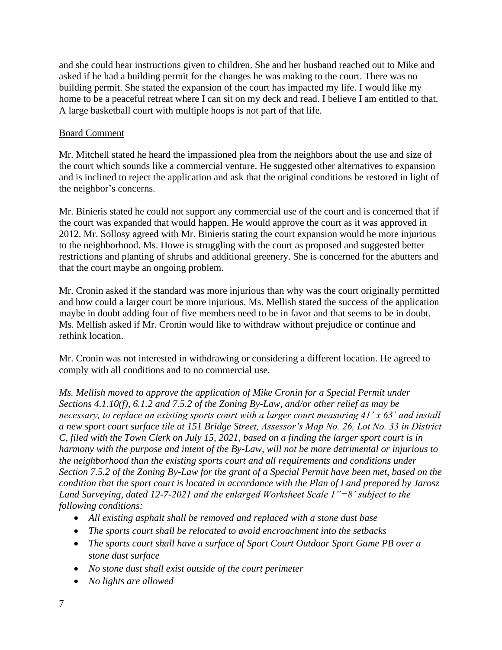and she could hear instructions given to children. She and her husband reached out to Mike and asked if he had a building permit for the changes he was making to the court. There was no building permit. She stated the expansion of the court has impacted my life. I would like my home to be a peaceful retreat where I can sit on my deck and read. I believe I am entitled to that. A large basketball court with multiple hoops is not part of that life.

### Board Comment

Mr. Mitchell stated he heard the impassioned plea from the neighbors about the use and size of the court which sounds like a commercial venture. He suggested other alternatives to expansion and is inclined to reject the application and ask that the original conditions be restored in light of the neighbor's concerns.

Mr. Binieris stated he could not support any commercial use of the court and is concerned that if the court was expanded that would happen. He would approve the court as it was approved in 2012. Mr. Sollosy agreed with Mr. Binieris stating the court expansion would be more injurious to the neighborhood. Ms. Howe is struggling with the court as proposed and suggested better restrictions and planting of shrubs and additional greenery. She is concerned for the abutters and that the court maybe an ongoing problem.

Mr. Cronin asked if the standard was more injurious than why was the court originally permitted and how could a larger court be more injurious. Ms. Mellish stated the success of the application maybe in doubt adding four of five members need to be in favor and that seems to be in doubt. Ms. Mellish asked if Mr. Cronin would like to withdraw without prejudice or continue and rethink location.

Mr. Cronin was not interested in withdrawing or considering a different location. He agreed to comply with all conditions and to no commercial use.

*Ms. Mellish moved to approve the application of Mike Cronin for a Special Permit under Sections 4.1.10(f), 6.1.2 and 7.5.2 of the Zoning By-Law, and/or other relief as may be necessary, to replace an existing sports court with a larger court measuring 41' x 63' and install a new sport court surface tile at 151 Bridge Street, Assessor's Map No. 26, Lot No. 33 in District C, filed with the Town Clerk on July 15, 2021, based on a finding the larger sport court is in harmony with the purpose and intent of the By-Law, will not be more detrimental or injurious to the neighborhood than the existing sports court and all requirements and conditions under Section 7.5.2 of the Zoning By-Law for the grant of a Special Permit have been met, based on the condition that the sport court is located in accordance with the Plan of Land prepared by Jarosz Land Surveying, dated 12-7-2021 and the enlarged Worksheet Scale 1"=8' subject to the following conditions:*

- *All existing asphalt shall be removed and replaced with a stone dust base*
- *The sports court shall be relocated to avoid encroachment into the setbacks*
- *The sports court shall have a surface of Sport Court Outdoor Sport Game PB over a stone dust surface*
- *No stone dust shall exist outside of the court perimeter*
- *No lights are allowed*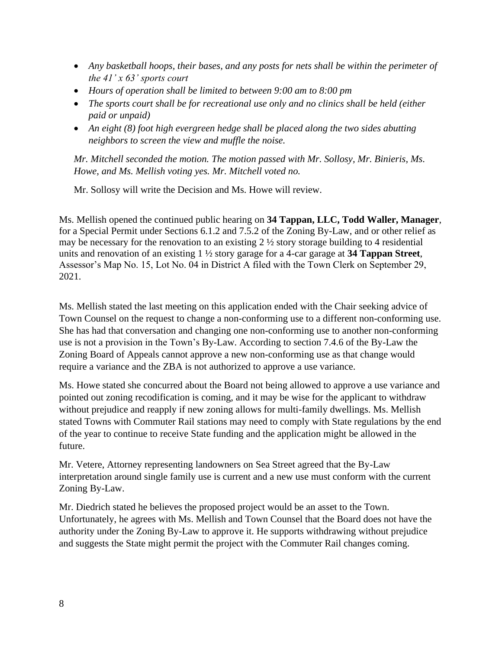- *Any basketball hoops, their bases, and any posts for nets shall be within the perimeter of the 41' x 63' sports court*
- *Hours of operation shall be limited to between 9:00 am to 8:00 pm*
- *The sports court shall be for recreational use only and no clinics shall be held (either paid or unpaid)*
- *An eight (8) foot high evergreen hedge shall be placed along the two sides abutting neighbors to screen the view and muffle the noise.*

*Mr. Mitchell seconded the motion. The motion passed with Mr. Sollosy, Mr. Binieris, Ms. Howe, and Ms. Mellish voting yes. Mr. Mitchell voted no.*

Mr. Sollosy will write the Decision and Ms. Howe will review.

Ms. Mellish opened the continued public hearing on **34 Tappan, LLC, Todd Waller, Manager**, for a Special Permit under Sections 6.1.2 and 7.5.2 of the Zoning By-Law, and or other relief as may be necessary for the renovation to an existing 2 ½ story storage building to 4 residential units and renovation of an existing 1 ½ story garage for a 4-car garage at **34 Tappan Street**, Assessor's Map No. 15, Lot No. 04 in District A filed with the Town Clerk on September 29, 2021.

Ms. Mellish stated the last meeting on this application ended with the Chair seeking advice of Town Counsel on the request to change a non-conforming use to a different non-conforming use. She has had that conversation and changing one non-conforming use to another non-conforming use is not a provision in the Town's By-Law. According to section 7.4.6 of the By-Law the Zoning Board of Appeals cannot approve a new non-conforming use as that change would require a variance and the ZBA is not authorized to approve a use variance.

Ms. Howe stated she concurred about the Board not being allowed to approve a use variance and pointed out zoning recodification is coming, and it may be wise for the applicant to withdraw without prejudice and reapply if new zoning allows for multi-family dwellings. Ms. Mellish stated Towns with Commuter Rail stations may need to comply with State regulations by the end of the year to continue to receive State funding and the application might be allowed in the future.

Mr. Vetere, Attorney representing landowners on Sea Street agreed that the By-Law interpretation around single family use is current and a new use must conform with the current Zoning By-Law.

Mr. Diedrich stated he believes the proposed project would be an asset to the Town. Unfortunately, he agrees with Ms. Mellish and Town Counsel that the Board does not have the authority under the Zoning By-Law to approve it. He supports withdrawing without prejudice and suggests the State might permit the project with the Commuter Rail changes coming.